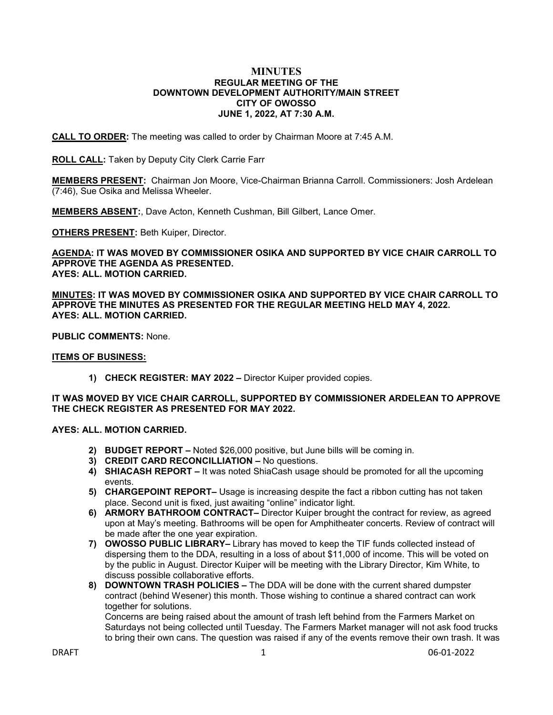#### **MINUTES REGULAR MEETING OF THE DOWNTOWN DEVELOPMENT AUTHORITY/MAIN STREET CITY OF OWOSSO JUNE 1, 2022, AT 7:30 A.M.**

**CALL TO ORDER:** The meeting was called to order by Chairman Moore at 7:45 A.M.

**ROLL CALL:** Taken by Deputy City Clerk Carrie Farr

**MEMBERS PRESENT:** Chairman Jon Moore, Vice-Chairman Brianna Carroll. Commissioners: Josh Ardelean (7:46), Sue Osika and Melissa Wheeler.

**MEMBERS ABSENT:**, Dave Acton, Kenneth Cushman, Bill Gilbert, Lance Omer.

**OTHERS PRESENT:** Beth Kuiper, Director.

**AGENDA: IT WAS MOVED BY COMMISSIONER OSIKA AND SUPPORTED BY VICE CHAIR CARROLL TO APPROVE THE AGENDA AS PRESENTED. AYES: ALL. MOTION CARRIED.**

**MINUTES: IT WAS MOVED BY COMMISSIONER OSIKA AND SUPPORTED BY VICE CHAIR CARROLL TO APPROVE THE MINUTES AS PRESENTED FOR THE REGULAR MEETING HELD MAY 4, 2022. AYES: ALL. MOTION CARRIED.**

**PUBLIC COMMENTS:** None.

### **ITEMS OF BUSINESS:**

**1) CHECK REGISTER: MAY 2022 –** Director Kuiper provided copies.

## **IT WAS MOVED BY VICE CHAIR CARROLL, SUPPORTED BY COMMISSIONER ARDELEAN TO APPROVE THE CHECK REGISTER AS PRESENTED FOR MAY 2022.**

## **AYES: ALL. MOTION CARRIED.**

- **2) BUDGET REPORT –** Noted \$26,000 positive, but June bills will be coming in.
- **3) CREDIT CARD RECONCILLIATION –** No questions.
- **4) SHIACASH REPORT –** It was noted ShiaCash usage should be promoted for all the upcoming events.
- **5) CHARGEPOINT REPORT–** Usage is increasing despite the fact a ribbon cutting has not taken place. Second unit is fixed, just awaiting "online" indicator light.
- **6) ARMORY BATHROOM CONTRACT–** Director Kuiper brought the contract for review, as agreed upon at May's meeting. Bathrooms will be open for Amphitheater concerts. Review of contract will be made after the one year expiration.
- **7) OWOSSO PUBLIC LIBRARY–** Library has moved to keep the TIF funds collected instead of dispersing them to the DDA, resulting in a loss of about \$11,000 of income. This will be voted on by the public in August. Director Kuiper will be meeting with the Library Director, Kim White, to discuss possible collaborative efforts.
- **8) DOWNTOWN TRASH POLICIES –** The DDA will be done with the current shared dumpster contract (behind Wesener) this month. Those wishing to continue a shared contract can work together for solutions.

Concerns are being raised about the amount of trash left behind from the Farmers Market on Saturdays not being collected until Tuesday. The Farmers Market manager will not ask food trucks to bring their own cans. The question was raised if any of the events remove their own trash. It was